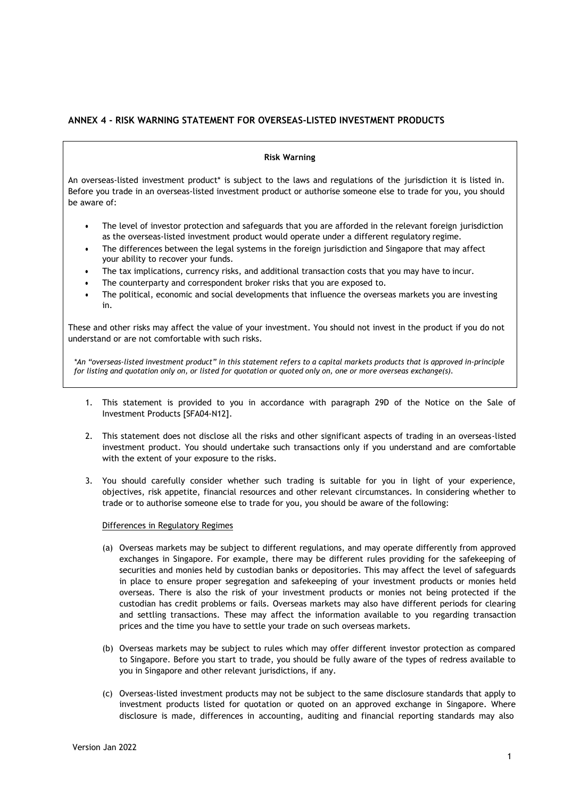# **ANNEX 4 - RISK WARNING STATEMENT FOR OVERSEAS-LISTED INVESTMENT PRODUCTS**

### **Risk Warning**

An overseas-listed investment product\* is subject to the laws and regulations of the jurisdiction it is listed in. Before you trade in an overseas-listed investment product or authorise someone else to trade for you, you should be aware of:

- The level of investor protection and safeguards that you are afforded in the relevant foreign jurisdiction as the overseas-listed investment product would operate under a different regulatory regime.
- The differences between the legal systems in the foreign jurisdiction and Singapore that may affect your ability to recover your funds.
- The tax implications, currency risks, and additional transaction costs that you may have to incur.
- The counterparty and correspondent broker risks that you are exposed to.
- The political, economic and social developments that influence the overseas markets you are investing in.

These and other risks may affect the value of your investment. You should not invest in the product if you do not understand or are not comfortable with such risks.

*\*An "overseas-listed investment product" in this statement refers to a capital markets products that is approved in-principle for listing and quotation only on, or listed for quotation or quoted only on, one or more overseas exchange(s).*

- 1. This statement is provided to you in accordance with paragraph 29D of the Notice on the Sale of Investment Products [SFA04-N12].
- 2. This statement does not disclose all the risks and other significant aspects of trading in an overseas-listed investment product. You should undertake such transactions only if you understand and are comfortable with the extent of your exposure to the risks.
- 3. You should carefully consider whether such trading is suitable for you in light of your experience, objectives, risk appetite, financial resources and other relevant circumstances. In considering whether to trade or to authorise someone else to trade for you, you should be aware of the following:

#### Differences in Regulatory Regimes

- (a) Overseas markets may be subject to different regulations, and may operate differently from approved exchanges in Singapore. For example, there may be different rules providing for the safekeeping of securities and monies held by custodian banks or depositories. This may affect the level of safeguards in place to ensure proper segregation and safekeeping of your investment products or monies held overseas. There is also the risk of your investment products or monies not being protected if the custodian has credit problems or fails. Overseas markets may also have different periods for clearing and settling transactions. These may affect the information available to you regarding transaction prices and the time you have to settle your trade on such overseas markets.
- (b) Overseas markets may be subject to rules which may offer different investor protection as compared to Singapore. Before you start to trade, you should be fully aware of the types of redress available to you in Singapore and other relevant jurisdictions, if any.
- (c) Overseas-listed investment products may not be subject to the same disclosure standards that apply to investment products listed for quotation or quoted on an approved exchange in Singapore. Where disclosure is made, differences in accounting, auditing and financial reporting standards may also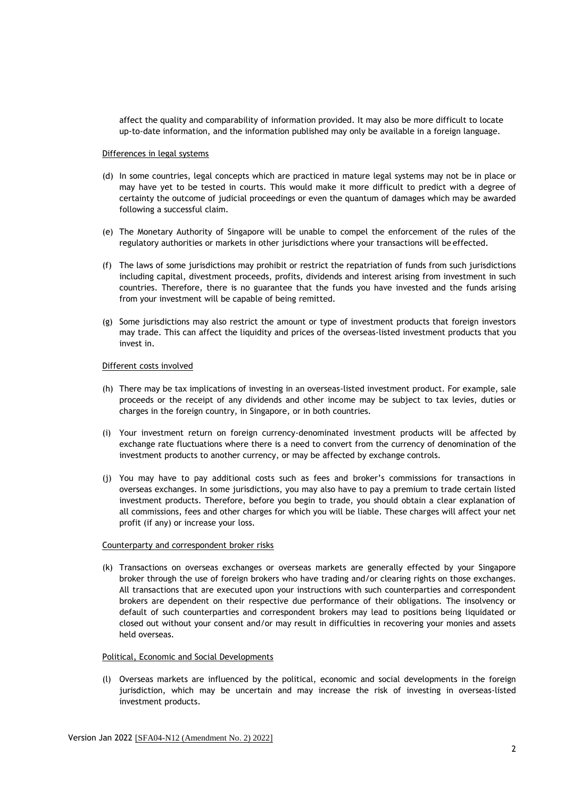affect the quality and comparability of information provided. It may also be more difficult to locate up-to-date information, and the information published may only be available in a foreign language.

#### Differences in legal systems

- (d) In some countries, legal concepts which are practiced in mature legal systems may not be in place or may have yet to be tested in courts. This would make it more difficult to predict with a degree of certainty the outcome of judicial proceedings or even the quantum of damages which may be awarded following a successful claim.
- (e) The Monetary Authority of Singapore will be unable to compel the enforcement of the rules of the regulatory authorities or markets in other jurisdictions where your transactions will be effected.
- (f) The laws of some jurisdictions may prohibit or restrict the repatriation of funds from such jurisdictions including capital, divestment proceeds, profits, dividends and interest arising from investment in such countries. Therefore, there is no guarantee that the funds you have invested and the funds arising from your investment will be capable of being remitted.
- (g) Some jurisdictions may also restrict the amount or type of investment products that foreign investors may trade. This can affect the liquidity and prices of the overseas-listed investment products that you invest in.

### Different costs involved

- (h) There may be tax implications of investing in an overseas-listed investment product. For example, sale proceeds or the receipt of any dividends and other income may be subject to tax levies, duties or charges in the foreign country, in Singapore, or in both countries.
- (i) Your investment return on foreign currency-denominated investment products will be affected by exchange rate fluctuations where there is a need to convert from the currency of denomination of the investment products to another currency, or may be affected by exchange controls.
- (j) You may have to pay additional costs such as fees and broker's commissions for transactions in overseas exchanges. In some jurisdictions, you may also have to pay a premium to trade certain listed investment products. Therefore, before you begin to trade, you should obtain a clear explanation of all commissions, fees and other charges for which you will be liable. These charges will affect your net profit (if any) or increase your loss.

## Counterparty and correspondent broker risks

(k) Transactions on overseas exchanges or overseas markets are generally effected by your Singapore broker through the use of foreign brokers who have trading and/or clearing rights on those exchanges. All transactions that are executed upon your instructions with such counterparties and correspondent brokers are dependent on their respective due performance of their obligations. The insolvency or default of such counterparties and correspondent brokers may lead to positions being liquidated or closed out without your consent and/or may result in difficulties in recovering your monies and assets held overseas.

## Political, Economic and Social Developments

(l) Overseas markets are influenced by the political, economic and social developments in the foreign jurisdiction, which may be uncertain and may increase the risk of investing in overseas-listed investment products.